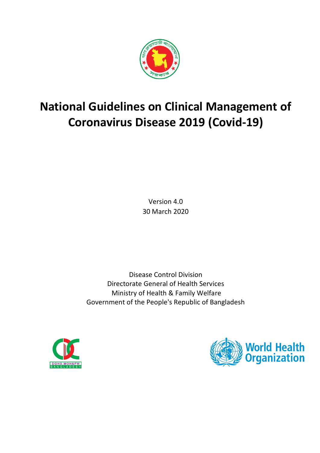

# **National Guidelines on Clinical Management of Coronavirus Disease 2019 (Covid-19)**

Version 4.0 30 March 2020

Disease Control Division Directorate General of Health Services Ministry of Health & Family Welfare Government of the People's Republic of Bangladesh



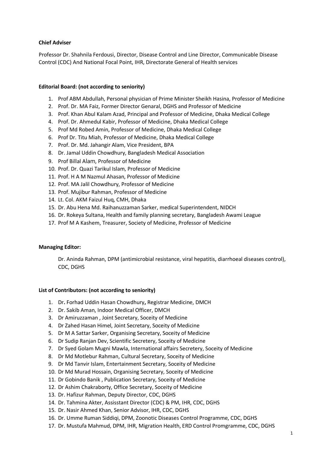## **Chief Adviser**

Professor Dr. Shahnila Ferdousi, Director, Disease Control and Line Director, Communicable Disease Control (CDC) And National Focal Point, IHR, Directorate General of Health services

#### **Editorial Board: (not according to seniority)**

- 1. Prof ABM Abdullah, Personal physician of Prime Minister Sheikh Hasina, Professor of Medicine
- 2. Prof. Dr. MA Faiz, Former Director Genaral, DGHS and Professor of Medicine
- 3. Prof. Khan Abul Kalam Azad, Principal and Professor of Medicine, Dhaka Medical College
- 4. Prof. Dr. Ahmedul Kabir, Professor of Medicine, Dhaka Medical College
- 5. Prof Md Robed Amin, Professor of Medicine, Dhaka Medical College
- 6. Prof Dr. Titu Miah, Professor of Medicine, Dhaka Medical College
- 7. Prof. Dr. Md. Jahangir Alam, Vice President, BPA
- 8. Dr. Jamal Uddin Chowdhury, Bangladesh Medical Association
- 9. Prof Billal Alam, Professor of Medicine
- 10. Prof. Dr. Quazi Tarikul Islam, Professor of Medicine
- 11. Prof. H A M Nazmul Ahasan, Professor of Medicine
- 12. Prof. MA Jalil Chowdhury, Professor of Medicine
- 13. Prof. Mujibur Rahman, Professor of Medicine
- 14. Lt. Col. AKM Faizul Huq, CMH, Dhaka
- 15. Dr. Abu Hena Md. Raihanuzzaman Sarker, medical Superintendent, NIDCH
- 16. Dr. Rokeya Sultana, Health and family planning secretary, Bangladesh Awami League
- 17. Prof M A Kashem, Treasurer, Society of Medicine, Professor of Medicine

#### **Managing Editor:**

Dr. Aninda Rahman, DPM (antimicrobial resistance, viral hepatitis, diarrhoeal diseases control), CDC, DGHS

#### **List of Contributors: (not according to seniority)**

- 1. Dr**.** Forhad Uddin Hasan Chowdhury**,** Registrar Medicine, DMCH
- 2. Dr. Sakib Aman, Indoor Medical Officer, DMCH
- 3. Dr Amiruzzaman , Joint Secretary, Soceity of Medicine
- 4. Dr Zahed Hasan Himel, Joint Secretary, Soceity of Medicine
- 5. Dr M A Sattar Sarker, Organising Secretary, Soceity of Medicine
- 6. Dr Sudip Ranjan Dev, Scientific Secretery, Soceity of Medicine
- 7. Dr Syed Golam Mugni Mawla, International affairs Secretery, Soceity of Medicine
- 8. Dr Md Motlebur Rahman, Cultural Secretary, Soceity of Medicine
- 9. Dr Md Tanvir Islam, Entertainment Secretary, Soceity of Medicine
- 10. Dr Md Murad Hossain, Organising Secretary, Soceity of Medicine
- 11. Dr Gobindo Banik , Publication Secretary, Soceity of Medicine
- 12. Dr Ashim Chakraborty, Office Secretary, Soceity of Medicine
- 13. Dr. Hafizur Rahman, Deputy Director, CDC, DGHS
- 14. Dr. Tahmina Akter, Assisstant Director (CDC) & PM, IHR, CDC, DGHS
- 15. Dr. Nasir Ahmed Khan, Senior Advisor, IHR, CDC, DGHS
- 16. Dr. Umme Ruman Siddiqi, DPM, Zoonotic Diseases Control Programme, CDC, DGHS
- 17. Dr. Mustufa Mahmud, DPM, IHR, Migration Health, ERD Control Promgramme, CDC, DGHS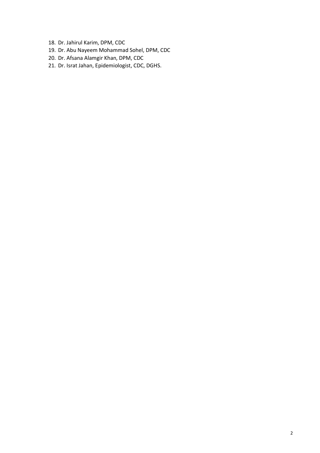- 18. Dr. Jahirul Karim, DPM, CDC
- 19. Dr. Abu Nayeem Mohammad Sohel, DPM, CDC
- 20. Dr. Afsana Alamgir Khan, DPM, CDC
- 21. Dr. Israt Jahan, Epidemiologist, CDC, DGHS.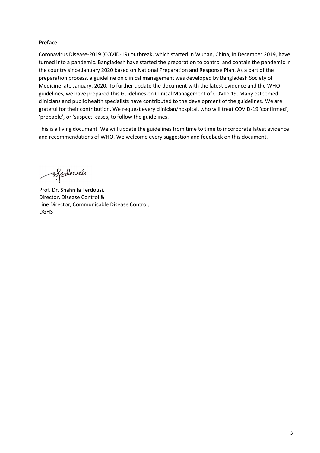# **Preface**

Coronavirus Disease-2019 (COVID-19) outbreak, which started in Wuhan, China, in December 2019, have turned into a pandemic. Bangladesh have started the preparation to control and contain the pandemic in the country since January 2020 based on National Preparation and Response Plan. As a part of the preparation process, a guideline on clinical management was developed by Bangladesh Society of Medicine late January, 2020. To further update the document with the latest evidence and the WHO guidelines, we have prepared this Guidelines on Clinical Management of COVID-19. Many esteemed clinicians and public health specialists have contributed to the development of the guidelines. We are grateful for their contribution. We request every clinician/hospital, who will treat COVID-19 'confirmed', 'probable', or 'suspect' cases, to follow the guidelines.

This is a living document. We will update the guidelines from time to time to incorporate latest evidence and recommendations of WHO. We welcome every suggestion and feedback on this document.

Efodovás

Prof. Dr. Shahnila Ferdousi, Director, Disease Control & Line Director, Communicable Disease Control, DGHS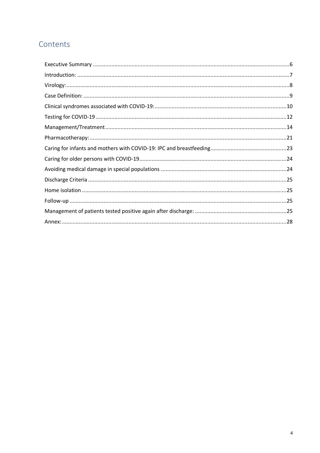# Contents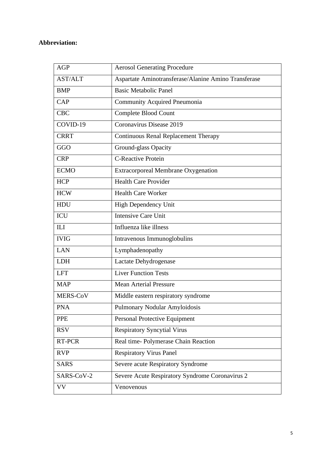# **Abbreviation:**

| <b>AGP</b>     | <b>Aerosol Generating Procedure</b>                  |  |
|----------------|------------------------------------------------------|--|
| <b>AST/ALT</b> | Aspartate Aminotransferase/Alanine Amino Transferase |  |
| <b>BMP</b>     | <b>Basic Metabolic Panel</b>                         |  |
| CAP            | <b>Community Acquired Pneumonia</b>                  |  |
| <b>CBC</b>     | Complete Blood Count                                 |  |
| COVID-19       | Coronavirus Disease 2019                             |  |
| <b>CRRT</b>    | <b>Continuous Renal Replacement Therapy</b>          |  |
| GGO            | Ground-glass Opacity                                 |  |
| <b>CRP</b>     | <b>C-Reactive Protein</b>                            |  |
| <b>ECMO</b>    | <b>Extracorporeal Membrane Oxygenation</b>           |  |
| <b>HCP</b>     | <b>Health Care Provider</b>                          |  |
| <b>HCW</b>     | <b>Health Care Worker</b>                            |  |
| HDU            | <b>High Dependency Unit</b>                          |  |
| <b>ICU</b>     | <b>Intensive Care Unit</b>                           |  |
| <b>ILI</b>     | Influenza like illness                               |  |
| <b>IVIG</b>    | Intravenous Immunoglobulins                          |  |
| <b>LAN</b>     | Lymphadenopathy                                      |  |
| <b>LDH</b>     | Lactate Dehydrogenase                                |  |
| <b>LFT</b>     | <b>Liver Function Tests</b>                          |  |
| <b>MAP</b>     | <b>Mean Arterial Pressure</b>                        |  |
| MERS-CoV       | Middle eastern respiratory syndrome                  |  |
| <b>PNA</b>     | Pulmonary Nodular Amyloidosis                        |  |
| <b>PPE</b>     | Personal Protective Equipment                        |  |
| <b>RSV</b>     | <b>Respiratory Syncytial Virus</b>                   |  |
| RT-PCR         | Real time-Polymerase Chain Reaction                  |  |
| <b>RVP</b>     | <b>Respiratory Virus Panel</b>                       |  |
| <b>SARS</b>    | Severe acute Respiratory Syndrome                    |  |
| SARS-CoV-2     | Severe Acute Respiratory Syndrome Coronavirus 2      |  |
| VV             | Venovenous                                           |  |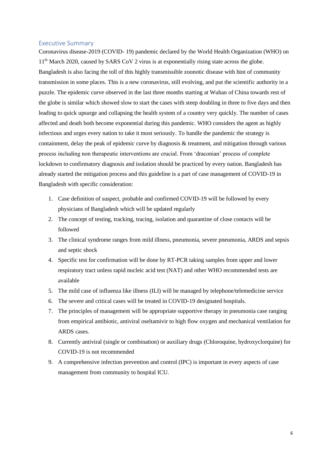#### <span id="page-6-0"></span>Executive Summary

Coronavirus disease-2019 (COVID- 19) pandemic declared by the World Health Organization (WHO) on 11<sup>th</sup> March 2020, caused by SARS CoV 2 virus is at exponentially rising state across the globe. Bangladesh is also facing the toll of this highly transmissible zoonotic disease with hint of community transmission in some places. This is a new coronavirus, still evolving, and put the scientific authority in a puzzle. The epidemic curve observed in the last three months starting at Wuhan of China towards rest of the globe is similar which showed slow to start the cases with steep doubling in three to five days and then leading to quick upsurge and collapsing the health system of a country very quickly. The number of cases affected and death both become exponential during this pandemic. WHO considers the agent as highly infectious and urges every nation to take it most seriously. To handle the pandemic the strategy is containment, delay the peak of epidemic curve by diagnosis & treatment, and mitigation through various process including non therapeutic interventions are crucial. From 'draconian' process of complete lockdown to confirmatory diagnosis and isolation should be practiced by every nation. Bangladesh has already started the mitigation process and this guideline is a part of case management of COVID-19 in Bangladesh with specific consideration:

- 1. Case definition of suspect, probable and confirmed COVID-19 will be followed by every physicians of Bangladesh which will be updated regularly
- 2. The concept of testing, tracking, tracing, isolation and quarantine of close contacts will be followed
- 3. The clinical syndrome ranges from mild illness, pneumonia, severe pneumonia, ARDS and sepsis and septic shock
- 4. Specific test for confirmation will be done by RT-PCR taking samples from upper and lower respiratory tract unless rapid nucleic acid test (NAT) and other WHO recommended tests are available
- 5. The mild case of influenza like illness (ILI) will be managed by telephone/telemedicine service
- 6. The severe and critical cases will be treated in COVID-19 designated hospitals.
- 7. The principles of management will be appropriate supportive therapy in pneumonia case ranging from empirical antibiotic, antiviral oseltamivir to high flow oxygen and mechanical ventilation for ARDS cases.
- 8. Currently antiviral (single or combination) or auxiliary drugs (Chloroquine, hydroxyclorquine) for COVID-19 is not recommended
- 9. A comprehensive infection prevention and control (IPC) is important in every aspects of case management from community to hospital ICU.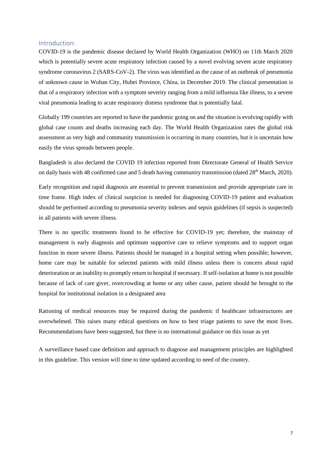#### <span id="page-7-0"></span>Introduction:

COVID-19 is the pandemic disease declared by World Health Organization (WHO) on 11th March 2020 which is potentially severe acute respiratory infection caused by a novel evolving severe acute respiratory syndrome coronavirus 2 (SARS-CoV-2). The virus was identified as the cause of an outbreak of pneumonia of unknown cause in Wuhan City, Hubei Province, China, in December 2019. The clinical presentation is that of a respiratory infection with a symptom severity ranging from a mild influenza like illness, to a severe viral pneumonia leading to acute respiratory distress syndrome that is potentially fatal.

Globally 199 countries are reported to have the pandemic going on and the situation is evolving rapidly with global case counts and deaths increasing each day. The World Health Organization rates the global risk assessment as very high and community transmission is occurring in many countries, but it is uncertain how easily the virus spreads between people.

Bangladesh is also declared the COVID 19 infection reported from Directorate General of Health Service on daily basis with 48 confirmed case and 5 death having community transmission (dated 28<sup>th</sup> March, 2020).

Early recognition and rapid diagnosis are essential to prevent transmission and provide appropriate care in time frame. High index of clinical suspicion is needed for diagnosing COVID-19 patient and evaluation should be performed according to pneumonia severity indexes and sepsis guidelines (if sepsis is suspected) in all patients with severe illness.

There is no specific treatments found to be effective for COVID-19 yet; therefore, the mainstay of management is early diagnosis and optimum supportive care to relieve symptoms and to support organ function in more severe illness. Patients should be managed in a hospital setting when possible; however, home care may be suitable for selected patients with mild illness unless there is concern about rapid deterioration or an inability to promptly return to hospital if necessary. If self-isolation at home is not possible because of lack of care giver, overcrowding at home or any other cause, patient should be brought to the hospital for institutional isolation in a designated area

Rationing of medical resources may be required during the pandemic if healthcare infrastructures are overwhelmed. This raises many ethical questions on how to best triage patients to save the most lives. Recommendations have been suggested, but there is no international guidance on this issue as yet

A surveillance based case definition and approach to diagnose and management principles are highlighted in this guideline. This version will time to time updated according to need of the country.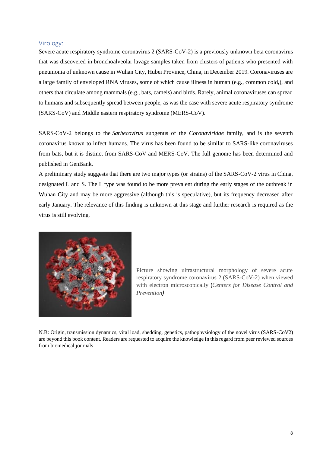## <span id="page-8-0"></span>Virology:

Severe acute respiratory syndrome coronavirus 2 (SARS-CoV-2) is a previously unknown beta coronavirus that was discovered in bronchoalveolar lavage samples taken from clusters of patients who presented with pneumonia of unknown cause in Wuhan City, Hubei Province, China, in December 2019. Coronaviruses are a large family of enveloped RNA viruses, some of which cause illness in human (e.g., common cold,), and others that circulate among mammals (e.g., bats, camels) and birds. Rarely, animal coronaviruses can spread to humans and subsequently spread between people, as was the case with severe acute respiratory syndrome (SARS-CoV) and Middle eastern respiratory syndrome (MERS-CoV).

SARS-CoV-2 belongs to the *Sarbecovirus* subgenus of the *Coronaviridae* family, and is the seventh coronavirus known to infect humans. The virus has been found to be similar to SARS-like coronaviruses from bats, but it is distinct from SARS-CoV and MERS-CoV. The full genome has been determined and published in GenBank.

A preliminary study suggests that there are two major types (or strains) of the SARS-CoV-2 virus in China, designated L and S. The L type was found to be more prevalent during the early stages of the outbreak in Wuhan City and may be more aggressive (although this is speculative), but its frequency decreased after early January. The relevance of this finding is unknown at this stage and further research is required as the virus is still evolving.



Picture showing ultrastructural morphology of severe acute respiratory syndrome coronavirus 2 (SARS-CoV-2) when viewed with electron microscopically (*Centers for Disease Control and Prevention)*

N.B: Origin, transmission dynamics, viral load, shedding, genetics, pathophysiology of the novel virus (SARS-CoV2) are beyond this book content. Readers are requested to acquire the knowledge in this regard from peer reviewed sources from biomedical journals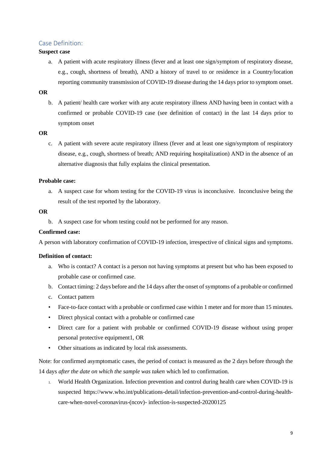# <span id="page-9-0"></span>Case Definition:

#### **Suspect case**

a. A patient with acute respiratory illness (fever and at least one sign/symptom of respiratory disease, e.g., cough, shortness of breath), AND a history of travel to or residence in a Country/location reporting community transmission of COVID-19 disease during the 14 days prior to symptom onset.

# **OR**

b. A patient/ health care worker with any acute respiratory illness AND having been in contact with a confirmed or probable COVID-19 case (see definition of contact) in the last 14 days prior to symptom onset

#### **OR**

c. A patient with severe acute respiratory illness (fever and at least one sign/symptom of respiratory disease, e.g., cough, shortness of breath; AND requiring hospitalization) AND in the absence of an alternative diagnosis that fully explains the clinical presentation.

#### **Probable case:**

a. A suspect case for whom testing for the COVID-19 virus is inconclusive. Inconclusive being the result of the test reported by the laboratory.

#### **OR**

b. A suspect case for whom testing could not be performed for any reason.

#### **Confirmed case:**

A person with laboratory confirmation of COVID-19 infection, irrespective of clinical signs and symptoms.

#### **Definition of contact:**

- a. Who is contact? A contact is a person not having symptoms at present but who has been exposed to probable case or confirmed case.
- b. Contact timing: 2 days before and the 14 days after the onset of symptoms of a probable or confirmed
- c. Contact pattern
- Face-to-face contact with a probable or confirmed case within 1 meter and for more than 15 minutes.
- Direct physical contact with a probable or confirmed case
- Direct care for a patient with probable or confirmed COVID-19 disease without using proper personal protective equipment1, OR
- Other situations as indicated by local risk assessments.

Note: for confirmed asymptomatic cases, the period of contact is measured as the 2 days before through the 14 days *after the date on which the sample was taken* which led to confirmation.

1. World Health Organization. Infection prevention and control during health care when COVID-19 is suspected https://www.who.int/publications-detail/infection-prevention-and-control-during-healthcare-when-novel-coronavirus-(ncov)- infection-is-suspected-20200125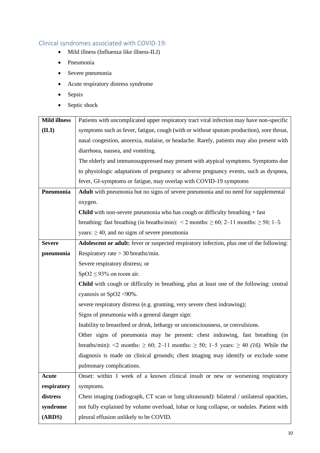# <span id="page-10-0"></span>Clinical syndromes associated with COVID-19:

- Mild illness (Influenza like illness-ILI)
- Pneumonia
- Severe pneumonia
- Acute respiratory distress syndrome
- Sepsis
- Septic shock

| <b>Mild illness</b> | Patients with uncomplicated upper respiratory tract viral infection may have non-specific           |  |  |
|---------------------|-----------------------------------------------------------------------------------------------------|--|--|
| (ILI)               | symptoms such as fever, fatigue, cough (with or without sputum production), sore throat,            |  |  |
|                     | nasal congestion, anorexia, malaise, or headache. Rarely, patients may also present with            |  |  |
|                     | diarrhoea, nausea, and vomiting.                                                                    |  |  |
|                     | The elderly and immunosuppressed may present with atypical symptoms. Symptoms due                   |  |  |
|                     | to physiologic adaptations of pregnancy or adverse pregnancy events, such as dyspnea,               |  |  |
|                     | fever, GI-symptoms or fatigue, may overlap with COVID-19 symptoms                                   |  |  |
| Pneumonia           | <b>Adult</b> with pneumonia but no signs of severe pneumonia and no need for supplemental           |  |  |
|                     | oxygen.                                                                                             |  |  |
|                     | <b>Child</b> with non-severe pneumonia who has cough or difficulty breathing $+$ fast               |  |  |
|                     | breathing: fast breathing (in breaths/min): $\leq$ 2 months: $\geq$ 60; 2–11 months: $\geq$ 50; 1–5 |  |  |
|                     | years: $\geq 40$ , and no signs of severe pneumonia                                                 |  |  |
| <b>Severe</b>       | Adolescent or adult: fever or suspected respiratory infection, plus one of the following:           |  |  |
| pneumonia           | Respiratory rate $>$ 30 breaths/min.                                                                |  |  |
|                     | Severe respiratory distress; or                                                                     |  |  |
|                     | $SpO2 \leq 93\%$ on room air.                                                                       |  |  |
|                     | <b>Child</b> with cough or difficulty in breathing, plus at least one of the following: central     |  |  |
|                     | cyanosis or SpO2 <90%.                                                                              |  |  |
|                     | severe respiratory distress (e.g. grunting, very severe chest indrawing);                           |  |  |
|                     | Signs of pneumonia with a general danger sign:                                                      |  |  |
|                     | Inability to breastfeed or drink, lethargy or unconsciousness, or convulsions.                      |  |  |
|                     | Other signs of pneumonia may be present: chest indrawing, fast breathing (in                        |  |  |
|                     | breaths/min): <2 months: $\geq 60$ ; 2-11 months: $\geq 50$ ; 1-5 years: $\geq 40$ (16). While the  |  |  |
|                     | diagnosis is made on clinical grounds; chest imaging may identify or exclude some                   |  |  |
|                     | pulmonary complications.                                                                            |  |  |
| <b>Acute</b>        | Onset: within 1 week of a known clinical insult or new or worsening respiratory                     |  |  |
| respiratory         | symptoms.                                                                                           |  |  |
| distress            | Chest imaging (radiograph, CT scan or lung ultrasound): bilateral / unilateral opacities,           |  |  |
| syndrome            | not fully explained by volume overload, lobar or lung collapse, or nodules. Patient with            |  |  |
| (ARDS)              | pleural effusion unlikely to be COVID.                                                              |  |  |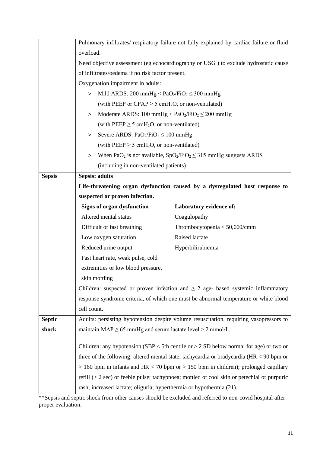|               | Pulmonary infiltrates/respiratory failure not fully explained by cardiac failure or fluid      |                                 |  |
|---------------|------------------------------------------------------------------------------------------------|---------------------------------|--|
|               | overload.                                                                                      |                                 |  |
|               | Need objective assessment (eg echocardiography or USG) to exclude hydrostatic cause            |                                 |  |
|               | of infiltrates/oedema if no risk factor present.                                               |                                 |  |
|               | Oxygenation impairment in adults:                                                              |                                 |  |
|               | Mild ARDS: 200 mmHg < $PaO2/FiO2 \le 300$ mmHg<br>$\,>$                                        |                                 |  |
|               | (with PEEP or CPAP $\geq$ 5 cmH <sub>2</sub> O, or non-ventilated)                             |                                 |  |
|               | Moderate ARDS: 100 mmHg $\langle PaO_2/FiO_2 \leq 200$ mmHg<br>>                               |                                 |  |
|               | (with $PEEP \ge 5$ cmH <sub>2</sub> O, or non-ventilated)                                      |                                 |  |
|               | Severe ARDS: $PaO2/FiO2 \le 100$ mmHg<br>>                                                     |                                 |  |
|               | (with PEEP $\geq$ 5 cmH <sub>2</sub> O, or non-ventilated)                                     |                                 |  |
|               | When PaO <sub>2</sub> is not available, $SpO_2/FiO_2 \leq 315$ mmHg suggests ARDS<br>>         |                                 |  |
|               | (including in non-ventilated patients)                                                         |                                 |  |
| <b>Sepsis</b> | <b>Sepsis: adults</b>                                                                          |                                 |  |
|               | Life-threatening organ dysfunction caused by a dysregulated host response to                   |                                 |  |
|               | suspected or proven infection.                                                                 |                                 |  |
|               | <b>Signs of organ dysfunction</b>                                                              | Laboratory evidence of:         |  |
|               | Altered mental status                                                                          | Coagulopathy                    |  |
|               | Difficult or fast breathing                                                                    | Thrombocytopenia $<$ 50,000/cmm |  |
|               | Low oxygen saturation                                                                          | Raised lactate                  |  |
|               | Reduced urine output                                                                           | Hyperbilirubiemia               |  |
|               | Fast heart rate, weak pulse, cold                                                              |                                 |  |
|               | extremities or low blood pressure,                                                             |                                 |  |
|               | skin mottling                                                                                  |                                 |  |
|               | Children: suspected or proven infection and $\geq 2$ age- based systemic inflammatory          |                                 |  |
|               | response syndrome criteria, of which one must be abnormal temperature or white blood           |                                 |  |
|               | cell count.                                                                                    |                                 |  |
| <b>Septic</b> | Adults: persisting hypotension despite volume resuscitation, requiring vasopressors to         |                                 |  |
| shock         | maintain $MAP \ge 65$ mmHg and serum lactate level $> 2$ mmol/L.                               |                                 |  |
|               |                                                                                                |                                 |  |
|               | Children: any hypotension (SBP $<$ 5th centile or $>$ 2 SD below normal for age) or two or     |                                 |  |
|               | three of the following: altered mental state; tachycardia or bradycardia ( $HR < 90$ bpm or    |                                 |  |
|               | $> 160$ bpm in infants and HR < 70 bpm or > 150 bpm in children); prolonged capillary          |                                 |  |
|               | refill ( $>$ 2 sec) or feeble pulse; tachypnoea; mottled or cool skin or petechial or purpuric |                                 |  |
|               | rash; increased lactate; oliguria; hyperthermia or hypothermia (21).                           |                                 |  |

\*\*Sepsis and septic shock from other causes should be excluded and referred to non-covid hospital after proper evaluation.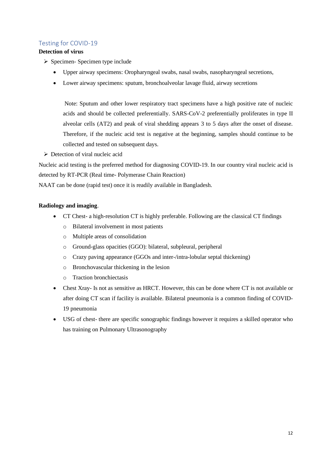# <span id="page-12-0"></span>Testing for COVID-19

# **Detection of virus**

- ➢ Specimen- Specimen type include
	- Upper airway specimens: Oropharyngeal swabs, nasal swabs, nasopharyngeal secretions,
	- Lower airway specimens: sputum, bronchoalveolar lavage fluid, airway secretions

Note: Sputum and other lower respiratory tract specimens have a high positive rate of nucleic acids and should be collected preferentially. SARS-CoV-2 preferentially proliferates in type II alveolar cells (AT2) and peak of viral shedding appears 3 to 5 days after the onset of disease. Therefore, if the nucleic acid test is negative at the beginning, samples should continue to be collected and tested on subsequent days.

➢ Detection of viral nucleic acid

Nucleic acid testing is the preferred method for diagnosing COVID-19. In our country viral nucleic acid is detected by RT-PCR (Real time- Polymerase Chain Reaction)

NAAT can be done (rapid test) once it is readily available in Bangladesh.

# **Radiology and imaging**.

- CT Chest- a high-resolution CT is highly preferable. Following are the classical CT findings
	- o Bilateral involvement in most patients
	- o Multiple areas of consolidation
	- o Ground-glass opacities (GGO): bilateral, subpleural, peripheral
	- o Crazy paving appearance (GGOs and inter-/intra-lobular septal thickening)
	- o Bronchovascular thickening in the lesion
	- o Traction bronchiectasis
- Chest Xray- Is not as sensitive as HRCT. However, this can be done where CT is not available or after doing CT scan if facility is available. Bilateral pneumonia is a common finding of COVID-19 pneumonia
- USG of chest- there are specific sonographic findings however it requires a skilled operator who has training on Pulmonary Ultrasonography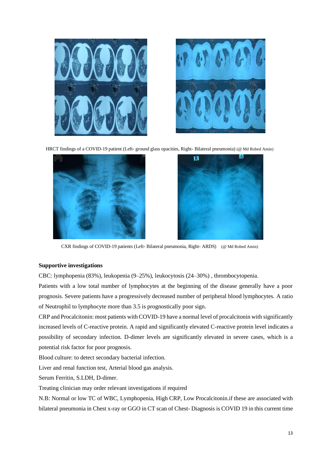



HRCT findings of a COVID-19 patient (Left- ground glass opacities, Right- Bilateral pneumonia) (@ Md Robed Amin)





CXR findings of COVID-19 patients (Left- Bilateral pneumonia, Right- ARDS) (@ Md Robed Amin)

#### **Supportive investigations**

CBC: lymphopenia (83%), leukopenia (9–25%), leukocytosis (24–30%) , thrombocytopenia.

Patients with a low total number of lymphocytes at the beginning of the disease generally have a poor prognosis. Severe patients have a progressively decreased number of peripheral blood lymphocytes. A ratio of Neutrophil to lymphocyte more than 3.5 is prognostically poor sign.

CRP and Procalcitonin: most patients with COVID-19 have a normal level of procalcitonin with significantly increased levels of C-reactive protein. A rapid and significantly elevated C-reactive protein level indicates a possibility of secondary infection. D-dimer levels are significantly elevated in severe cases, which is a potential risk factor for poor prognosis.

Blood culture: to detect secondary bacterial infection.

Liver and renal function test, Arterial blood gas analysis.

Serum Ferritin, S.LDH, D-dimer.

Treating clinician may order relevant investigations if required

N.B: Normal or low TC of WBC, Lymphopenia, High CRP, Low Procalcitonin.if these are associated with bilateral pneumonia in Chest x-ray or GGO in CT scan of Chest- Diagnosis is COVID 19 in this current time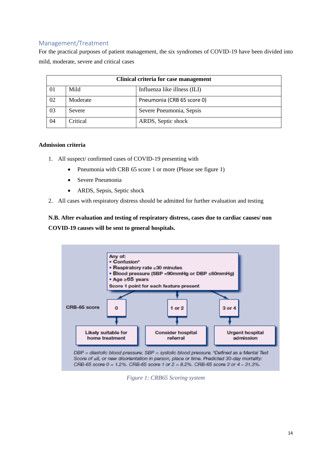# <span id="page-14-0"></span>Management/Treatment

For the practical purposes of patient management, the six syndromes of COVID-19 have been divided into mild, moderate, severe and critical cases

| Clinical criteria for case management |          |                              |  |
|---------------------------------------|----------|------------------------------|--|
| 01                                    | Mild     | Influenza like illness (ILI) |  |
| 02                                    | Moderate | Pneumonia (CRB 65 score 0)   |  |
| 03                                    | Severe   | Severe Pneumonia, Sepsis     |  |
| 04                                    | Critical | ARDS, Septic shock           |  |

#### **Admission criteria**

- 1. All suspect/ confirmed cases of COVID-19 presenting with
	- Pneumonia with CRB 65 score 1 or more (Please see figure 1)
	- Severe Pneumonia
	- ARDS, Sepsis, Septic shock
- 2. All cases with respiratory distress should be admitted for further evaluation and testing

**N.B. After evaluation and testing of respiratory distress, cases due to cardiac causes/ non COVID-19 causes will be sent to general hospitals.**



*Figure 1: CRB65 Scoring system*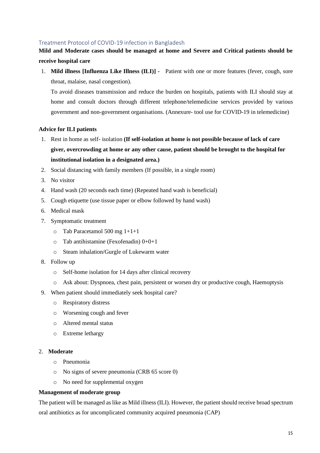# Treatment Protocol of COVID-19 infection in Bangladesh

# **Mild and Moderate cases should be managed at home and Severe and Critical patients should be receive hospital care**

1. **Mild illness [Influenza Like Illness (ILI)] -** Patient with one or more features (fever, cough, sore throat, malaise, nasal congestion).

To avoid diseases transmission and reduce the burden on hospitals, patients with ILI should stay at home and consult doctors through different telephone/telemedicine services provided by various government and non-government organisations. (Annexure- tool use for COVID-19 in telemedicine)

#### **Advice for ILI patients**

- 1. Rest in home as self- isolation **(If self-isolation at home is not possible because of lack of care giver, overcrowding at home or any other cause, patient should be brought to the hospital for institutional isolation in a designated area.)**
- 2. Social distancing with family members (If possible, in a single room)
- 3. No visitor
- 4. Hand wash (20 seconds each time) (Repeated hand wash is beneficial)
- 5. Cough etiquette (use tissue paper or elbow followed by hand wash)
- 6. Medical mask
- 7. Symptomatic treatment
	- o Tab Paracetamol 500 mg 1+1+1
	- $\circ$  Tab antihistamine (Fexofenadin) 0+0+1
	- o Steam inhalation/Gurgle of Lukewarm water
- 8. Follow up
	- o Self-home isolation for 14 days after clinical recovery
	- o Ask about: Dyspnoea, chest pain, persistent or worsen dry or productive cough, Haemoptysis
- 9. When patient should immediately seek hospital care?
	- o Respiratory distress
	- o Worsening cough and fever
	- o Altered mental status
	- o Extreme lethargy

#### 2. **Moderate**

- o Pneumonia
- o No signs of severe pneumonia (CRB 65 score 0)
- o No need for supplemental oxygen

#### **Management of moderate group**

The patient will be managed as like as Mild illness (ILI). However, the patient should receive broad spectrum oral antibiotics as for uncomplicated community acquired pneumonia (CAP)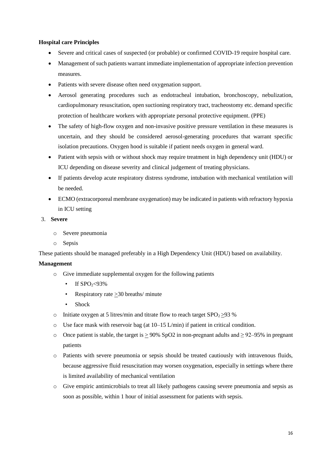## **Hospital care Principles**

- Severe and critical cases of suspected (or probable) or confirmed COVID-19 require hospital care.
- Management of such patients warrant immediate implementation of appropriate infection prevention measures.
- Patients with severe disease often need oxygenation support.
- Aerosol generating procedures such as endotracheal intubation, bronchoscopy, nebulization, cardiopulmonary resuscitation, open suctioning respiratory tract, tracheostomy etc. demand specific protection of healthcare workers with appropriate personal protective equipment. (PPE)
- The safety of high-flow oxygen and non-invasive positive pressure ventilation in these measures is uncertain, and they should be considered aerosol-generating procedures that warrant specific isolation precautions. Oxygen hood is suitable if patient needs oxygen in general ward.
- Patient with sepsis with or without shock may require treatment in high dependency unit (HDU) or ICU depending on disease severity and clinical judgement of treating physicians.
- If patients develop acute respiratory distress syndrome, intubation with mechanical ventilation will be needed.
- ECMO (extracorporeal membrane oxygenation) may be indicated in patients with refractory hypoxia in ICU setting

#### 3. **Severe**

- o Severe pneumonia
- o Sepsis

These patients should be managed preferably in a High Dependency Unit (HDU) based on availability.

#### **Management**

- o Give immediate supplemental oxygen for the following patients
	- If  $SPO_2 < 93\%$
	- Respiratory rate  $\geq$  30 breaths/ minute
	- Shock
- o Initiate oxygen at 5 litres/min and titrate flow to reach target  $SPO<sub>2</sub> > 93$  %
- $\circ$  Use face mask with reservoir bag (at 10–15 L/min) if patient in critical condition.
- o Once patient is stable, the target is > 90% SpO2 in non-pregnant adults and  $\geq$  92–95% in pregnant patients
- o Patients with severe pneumonia or sepsis should be treated cautiously with intravenous fluids, because aggressive fluid resuscitation may worsen oxygenation, especially in settings where there is limited availability of mechanical ventilation
- o Give empiric antimicrobials to treat all likely pathogens causing severe pneumonia and sepsis as soon as possible, within 1 hour of initial assessment for patients with sepsis.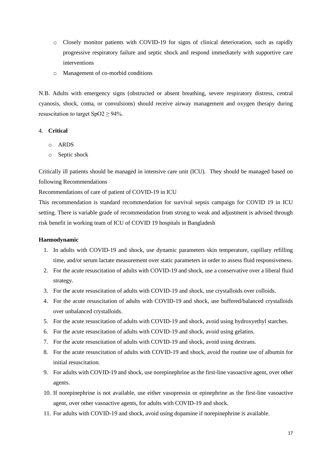- o Closely monitor patients with COVID-19 for signs of clinical deterioration, such as rapidly progressive respiratory failure and septic shock and respond immediately with supportive care interventions
- o Management of co-morbid conditions

N.B. Adults with emergency signs (obstructed or absent breathing, severe respiratory distress, central cyanosis, shock, coma, or convulsions) should receive airway management and oxygen therapy during resuscitation to target  $SpO2 \geq 94\%$ .

#### 4. **Critical**

- o ARDS
- o Septic shock

Critically ill patients should be managed in intensive care unit (ICU). They should be managed based on following Recommendations

Recommendations of care of patient of COVID-19 in ICU

This recommendation is standard recommendation for survival sepsis campaign for COVID 19 in ICU setting. There is variable grade of recommendation from strong to weak and adjustment is advised through risk benefit in working team of ICU of COVID 19 hospitals in Bangladesh

#### **Haemodynamic**

- 1. In adults with COVID-19 and shock, use dynamic parameters skin temperature, capillary refilling time, and/or serum lactate measurement over static parameters in order to assess fluid responsiveness.
- 2. For the acute resuscitation of adults with COVID-19 and shock, use a conservative over a liberal fluid strategy.
- 3. For the acute resuscitation of adults with COVID-19 and shock, use crystalloids over colloids.
- 4. For the acute resuscitation of adults with COVID-19 and shock, use buffered/balanced crystalloids over unbalanced crystalloids.
- 5. For the acute resuscitation of adults with COVID-19 and shock, avoid using hydroxyethyl starches.
- 6. For the acute resuscitation of adults with COVID-19 and shock, avoid using gelatins.
- 7. For the acute resuscitation of adults with COVID-19 and shock, avoid using dextrans.
- 8. For the acute resuscitation of adults with COVID-19 and shock, avoid the routine use of albumin for initial resuscitation.
- 9. For adults with COVID-19 and shock, use norepinephrine as the first-line vasoactive agent, over other agents.
- 10. If norepinephrine is not available, use either vasopressin or epinephrine as the first-line vasoactive agent, over other vasoactive agents, for adults with COVID-19 and shock.
- 11. For adults with COVID-19 and shock, avoid using dopamine if norepinephrine is available.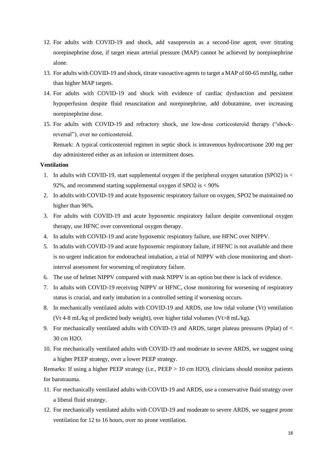- 12. For adults with COVID-19 and shock, add vasopressin as a second-line agent, over titrating norepinephrine dose, if target mean arterial pressure (MAP) cannot be achieved by norepinephrine alone.
- 13. For adults with COVID-19 and shock, titrate vasoactive agents to target a MAP of 60-65 mmHg, rather than higher MAP targets.
- 14. For adults with COVID-19 and shock with evidence of cardiac dysfunction and persistent hypoperfusion despite fluid resuscitation and norepinephrine, add dobutamine, over increasing norepinephrine dose.
- 15. For adults with COVID-19 and refractory shock, use low-dose corticosteroid therapy ("shockreversal"), over no corticosteroid.

Remark: A typical corticosteroid regimen in septic shock is intravenous hydrocortisone 200 mg per day administered either as an infusion or intermittent doses.

#### **Ventilation**

- 1. In adults with COVID-19, start supplemental oxygen if the peripheral oxygen saturation (SPO2) is < 92%, and recommend starting supplemental oxygen if SPO2 is < 90%
- 2. In adults with COVID-19 and acute hypoxemic respiratory failure on oxygen, SPO2 be maintained no higher than 96%.
- 3. For adults with COVID-19 and acute hypoxemic respiratory failure despite conventional oxygen therapy, use HFNC over conventional oxygen therapy.
- 4. In adults with COVID-19 and acute hypoxemic respiratory failure, use HFNC over NIPPV.
- 5. In adults with COVID-19 and acute hypoxemic respiratory failure, if HFNC is not available and there is no urgent indication for endotracheal intubation, a trial of NIPPV with close monitoring and shortinterval assessment for worsening of respiratory failure.
- 6. The use of helmet NIPPV compared with mask NIPPV is an option but there is lack of evidence.
- 7. In adults with COVID-19 receiving NIPPV or HFNC, close monitoring for worsening of respiratory status is crucial, and early intubation in a controlled setting if worsening occurs.
- 8. In mechanically ventilated adults with COVID-19 and ARDS, use low tidal volume (Vt) ventilation (Vt 4-8 mL/kg of predicted body weight), over higher tidal volumes (Vt>8 mL/kg).
- 9. For mechanically ventilated adults with COVID-19 and ARDS, target plateau pressures (Pplat) of < 30 cm H2O.
- 10. For mechanically ventilated adults with COVID-19 and moderate to severe ARDS, we suggest using a higher PEEP strategy, over a lower PEEP strategy.

Remarks: If using a higher PEEP strategy (i.e., PEEP > 10 cm H2O), clinicians should monitor patients for barotrauma.

- 11. For mechanically ventilated adults with COVID-19 and ARDS, use a conservative fluid strategy over a liberal fluid strategy.
- 12. For mechanically ventilated adults with COVID-19 and moderate to severe ARDS, we suggest prone ventilation for 12 to 16 hours, over no prone ventilation.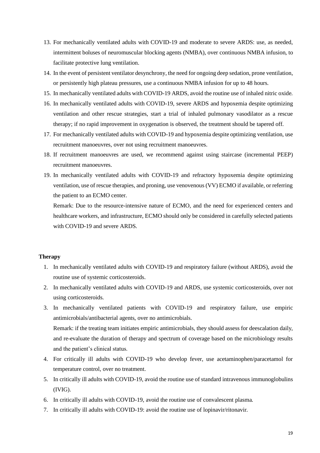- 13. For mechanically ventilated adults with COVID-19 and moderate to severe ARDS: use, as needed, intermittent boluses of neuromuscular blocking agents (NMBA), over continuous NMBA infusion, to facilitate protective lung ventilation.
- 14. In the event of persistent ventilator desynchrony, the need for ongoing deep sedation, prone ventilation, or persistently high plateau pressures, use a continuous NMBA infusion for up to 48 hours.
- 15. In mechanically ventilated adults with COVID-19 ARDS, avoid the routine use of inhaled nitric oxide.
- 16. In mechanically ventilated adults with COVID-19, severe ARDS and hypoxemia despite optimizing ventilation and other rescue strategies, start a trial of inhaled pulmonary vasodilator as a rescue therapy; if no rapid improvement in oxygenation is observed, the treatment should be tapered off.
- 17. For mechanically ventilated adults with COVID-19 and hypoxemia despite optimizing ventilation, use recruitment manoeuvres, over not using recruitment manoeuvres.
- 18. If recruitment manoeuvres are used, we recommend against using staircase (incremental PEEP) recruitment manoeuvres.
- 19. In mechanically ventilated adults with COVID-19 and refractory hypoxemia despite optimizing ventilation, use of rescue therapies, and proning, use venovenous (VV) ECMO if available, or referring the patient to an ECMO center.

Remark: Due to the resource-intensive nature of ECMO, and the need for experienced centers and healthcare workers, and infrastructure, ECMO should only be considered in carefully selected patients with COVID-19 and severe ARDS.

#### **Therapy**

- 1. In mechanically ventilated adults with COVID-19 and respiratory failure (without ARDS), avoid the routine use of systemic corticosteroids.
- 2. In mechanically ventilated adults with COVID-19 and ARDS, use systemic corticosteroids, over not using corticosteroids.
- 3. In mechanically ventilated patients with COVID-19 and respiratory failure, use empiric antimicrobials/antibacterial agents, over no antimicrobials. Remark: if the treating team initiates empiric antimicrobials, they should assess for deescalation daily, and re-evaluate the duration of therapy and spectrum of coverage based on the microbiology results and the patient's clinical status.
- 4. For critically ill adults with COVID-19 who develop fever, use acetaminophen/paracetamol for temperature control, over no treatment.
- 5. In critically ill adults with COVID-19, avoid the routine use of standard intravenous immunoglobulins (IVIG).
- 6. In critically ill adults with COVID-19, avoid the routine use of convalescent plasma.
- 7. In critically ill adults with COVID-19: avoid the routine use of lopinavir/ritonavir.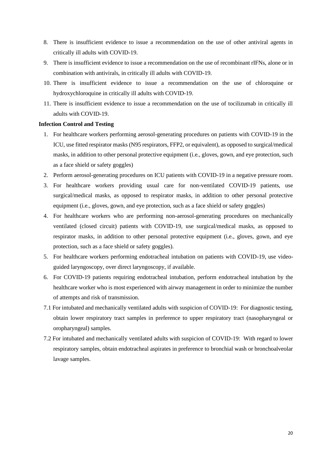- 8. There is insufficient evidence to issue a recommendation on the use of other antiviral agents in critically ill adults with COVID-19.
- 9. There is insufficient evidence to issue a recommendation on the use of recombinant rIFNs, alone or in combination with antivirals, in critically ill adults with COVID-19.
- 10. There is insufficient evidence to issue a recommendation on the use of chloroquine or hydroxychloroquine in critically ill adults with COVID-19.
- 11. There is insufficient evidence to issue a recommendation on the use of tocilizumab in critically ill adults with COVID-19.

#### **Infection Control and Testing**

- 1. For healthcare workers performing aerosol-generating procedures on patients with COVID-19 in the ICU, use fitted respirator masks (N95 respirators, FFP2, or equivalent), as opposed to surgical/medical masks, in addition to other personal protective equipment (i.e., gloves, gown, and eye protection, such as a face shield or safety goggles)
- 2. Perform aerosol-generating procedures on ICU patients with COVID-19 in a negative pressure room.
- 3. For healthcare workers providing usual care for non-ventilated COVID-19 patients, use surgical/medical masks, as opposed to respirator masks, in addition to other personal protective equipment (i.e., gloves, gown, and eye protection, such as a face shield or safety goggles)
- 4. For healthcare workers who are performing non-aerosol-generating procedures on mechanically ventilated (closed circuit) patients with COVID-19, use surgical/medical masks, as opposed to respirator masks, in addition to other personal protective equipment (i.e., gloves, gown, and eye protection, such as a face shield or safety goggles).
- 5. For healthcare workers performing endotracheal intubation on patients with COVID-19, use videoguided laryngoscopy, over direct laryngoscopy, if available.
- 6. For COVID-19 patients requiring endotracheal intubation, perform endotracheal intubation by the healthcare worker who is most experienced with airway management in order to minimize the number of attempts and risk of transmission.
- 7.1 For intubated and mechanically ventilated adults with suspicion of COVID-19: For diagnostic testing, obtain lower respiratory tract samples in preference to upper respiratory tract (nasopharyngeal or oropharyngeal) samples.
- 7.2 For intubated and mechanically ventilated adults with suspicion of COVID-19: With regard to lower respiratory samples, obtain endotracheal aspirates in preference to bronchial wash or bronchoalveolar lavage samples.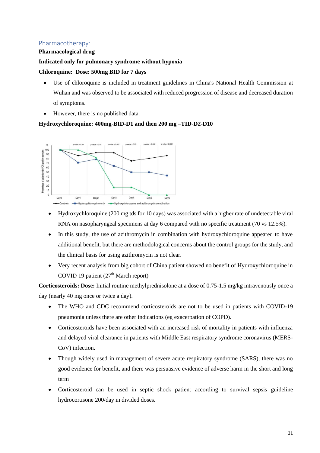# <span id="page-21-0"></span>Pharmacotherapy:

#### **Pharmacological drug**

# **Indicated only for pulmonary syndrome without hypoxia**

#### **Chloroquine: Dose: 500mg BID for 7 days**

- Use of chloroquine is included in treatment guidelines in China's National Health Commission at Wuhan and was observed to be associated with reduced progression of disease and decreased duration of symptoms.
- However, there is no published data.

# **Hydroxychloroquine: 400mg-BID-D1 and then 200 mg –TID-D2-D10**



- Hydroxychloroquine (200 mg tds for 10 days) was associated with a higher rate of undetectable viral RNA on nasopharyngeal specimens at day 6 compared with no specific treatment (70 vs 12.5%).
- In this study, the use of azithromycin in combination with hydroxychloroquine appeared to have additional benefit, but there are methodological concerns about the control groups for the study, and the clinical basis for using azithromycin is not clear.
- Very recent analysis from big cohort of China patient showed no benefit of Hydroxychloroquine in COVID 19 patient  $(27<sup>th</sup> March report)$

**Corticosteroids: Dose:** Initial routine methylprednisolone at a dose of 0.75-1.5 mg/kg intravenously once a day (nearly 40 mg once or twice a day).

- The WHO and CDC recommend corticosteroids are not to be used in patients with COVID-19 pneumonia unless there are other indications (eg exacerbation of COPD).
- Corticosteroids have been associated with an increased risk of mortality in patients with influenza and delayed viral clearance in patients with Middle East respiratory syndrome coronavirus (MERS-CoV) infection.
- Though widely used in management of severe acute respiratory syndrome (SARS), there was no good evidence for benefit, and there was persuasive evidence of adverse harm in the short and long term
- Corticosteroid can be used in septic shock patient according to survival sepsis guideline hydrocortisone 200/day in divided doses.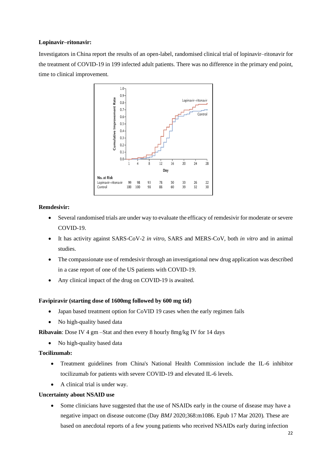## **Lopinavir–ritonavir:**

Investigators in China report the results of an open-label, randomised clinical trial of lopinavir–ritonavir for the treatment of COVID-19 in 199 infected adult patients. There was no difference in the primary end point, time to clinical improvement.



#### **Remdesivir:**

- Several randomised trials are under way to evaluate the efficacy of remdesivir for moderate or severe COVID-19.
- It has activity against SARS-CoV-2 *in vitro*, SARS and MERS-CoV, both *in vitro* and in animal studies.
- The compassionate use of remdesivir through an investigational new drug application was described in a case report of one of the US patients with COVID-19.
- Any clinical impact of the drug on COVID-19 is awaited.

# **Favipiravir (starting dose of 1600mg followed by 600 mg tid)**

- Japan based treatment option for CoVID 19 cases when the early regimen fails
- No high-quality based data

**Ribavain**: Dose IV 4 gm –Stat and then every 8 hourly 8mg/kg IV for 14 days

• No high-quality based data

# **Tocilizumab:**

- Treatment guidelines from China's National Health Commission include the IL-6 inhibitor tocilizumab for patients with severe COVID-19 and elevated IL-6 levels.
- A clinical trial is under way.

#### **Uncertainty about NSAID use**

• Some clinicians have suggested that the use of NSAIDs early in the course of disease may have a negative impact on disease outcome (Day *BMJ* 2020;368:m1086. Epub 17 Mar 2020). These are based on anecdotal reports of a few young patients who received NSAIDs early during infection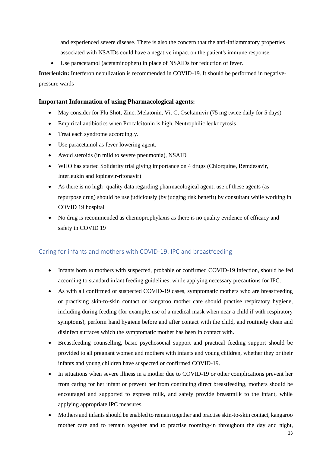and experienced severe disease. There is also the concern that the anti-inflammatory properties associated with NSAIDs could have a negative impact on the patient's immune response.

Use paracetamol (acetaminophen) in place of NSAIDs for reduction of fever.

**Interleukin:** Interferon nebulization is recommended in COVID-19. It should be performed in negativepressure wards

## **Important Information of using Pharmacological agents:**

- May consider for Flu Shot, Zinc, Melatonin, Vit C, Oseltamivir (75 mg twice daily for 5 days)
- Empirical antibiotics when Procalcitonin is high, Neutrophilic leukocytosis
- Treat each syndrome accordingly.
- Use paracetamol as fever-lowering agent.
- Avoid steroids (in mild to severe pneumonia), NSAID
- WHO has started Solidarity trial giving importance on 4 drugs (Chlorquine, Remdesavir, Interleukin and lopinavir-ritonavir)
- As there is no high-quality data regarding pharmacological agent, use of these agents (as repurpose drug) should be use judiciously (by judging risk benefit) by consultant while working in COVID 19 hospital
- No drug is recommended as chemoprophylaxis as there is no quality evidence of efficacy and safety in COVID 19

# <span id="page-23-0"></span>Caring for infants and mothers with COVID-19: IPC and breastfeeding

- Infants born to mothers with suspected, probable or confirmed COVID-19 infection, should be fed according to standard infant feeding guidelines, while applying necessary precautions for IPC.
- As with all confirmed or suspected COVID-19 cases, symptomatic mothers who are breastfeeding or practising skin-to-skin contact or kangaroo mother care should practise respiratory hygiene, including during feeding (for example, use of a medical mask when near a child if with respiratory symptoms), perform hand hygiene before and after contact with the child, and routinely clean and disinfect surfaces which the symptomatic mother has been in contact with.
- Breastfeeding counselling, basic psychosocial support and practical feeding support should be provided to all pregnant women and mothers with infants and young children, whether they or their infants and young children have suspected or confirmed COVID-19.
- In situations when severe illness in a mother due to COVID-19 or other complications prevent her from caring for her infant or prevent her from continuing direct breastfeeding, mothers should be encouraged and supported to express milk, and safely provide breastmilk to the infant, while applying appropriate IPC measures.
- Mothers and infants should be enabled to remain together and practise skin-to-skin contact, kangaroo mother care and to remain together and to practise rooming-in throughout the day and night,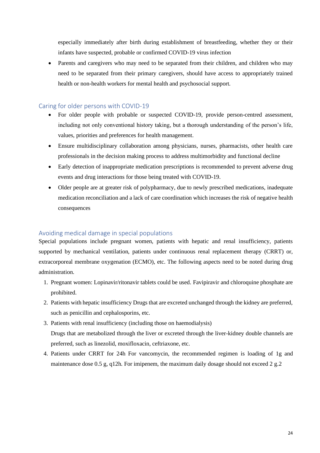especially immediately after birth during establishment of breastfeeding, whether they or their infants have suspected, probable or confirmed COVID-19 virus infection

• Parents and caregivers who may need to be separated from their children, and children who may need to be separated from their primary caregivers, should have access to appropriately trained health or non-health workers for mental health and psychosocial support.

## <span id="page-24-0"></span>Caring for older persons with COVID-19

- For older people with probable or suspected COVID-19, provide person-centred assessment, including not only conventional history taking, but a thorough understanding of the person's life, values, priorities and preferences for health management.
- Ensure multidisciplinary collaboration among physicians, nurses, pharmacists, other health care professionals in the decision making process to address multimorbidity and functional decline
- Early detection of inappropriate medication prescriptions is recommended to prevent adverse drug events and drug interactions for those being treated with COVID-19.
- Older people are at greater risk of polypharmacy, due to newly prescribed medications, inadequate medication reconciliation and a lack of care coordination which increases the risk of negative health consequences

# <span id="page-24-1"></span>Avoiding medical damage in special populations

Special populations include pregnant women, patients with hepatic and renal insufficiency, patients supported by mechanical ventilation, patients under continuous renal replacement therapy (CRRT) or, extracorporeal membrane oxygenation (ECMO), etc. The following aspects need to be noted during drug administration.

- 1. Pregnant women: Lopinavir/ritonavir tablets could be used. Favipiravir and chloroquine phosphate are prohibited.
- 2. Patients with hepatic insufficiency Drugs that are excreted unchanged through the kidney are preferred, such as penicillin and cephalosporins, etc.
- 3. Patients with renal insufficiency (including those on haemodialysis) Drugs that are metabolized through the liver or excreted through the liver-kidney double channels are preferred, such as linezolid, moxifloxacin, ceftriaxone, etc.
- 4. Patients under CRRT for 24h For vancomycin, the recommended regimen is loading of 1g and maintenance dose 0.5 g, q12h. For imipenem, the maximum daily dosage should not exceed 2 g.2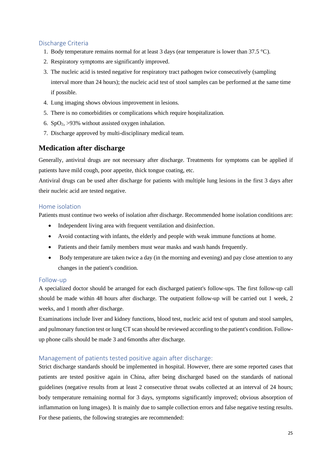# <span id="page-25-0"></span>Discharge Criteria

- 1. Body temperature remains normal for at least 3 days (ear temperature is lower than 37.5  $\degree$ C).
- 2. Respiratory symptoms are significantly improved.
- 3. The nucleic acid is tested negative for respiratory tract pathogen twice consecutively (sampling interval more than 24 hours); the nucleic acid test of stool samples can be performed at the same time if possible.
- 4. Lung imaging shows obvious improvement in lesions.
- 5. There is no comorbidities or complications which require hospitalization.
- 6.  $SpO<sub>2</sub> > 93%$  without assisted oxygen inhalation.
- 7. Discharge approved by multi-disciplinary medical team.

# **Medication after discharge**

Generally, antiviral drugs are not necessary after discharge. Treatments for symptoms can be applied if patients have mild cough, poor appetite, thick tongue coating, etc.

Antiviral drugs can be used after discharge for patients with multiple lung lesions in the first 3 days after their nucleic acid are tested negative.

# <span id="page-25-1"></span>Home isolation

Patients must continue two weeks of isolation after discharge. Recommended home isolation conditions are:

- Independent living area with frequent ventilation and disinfection.
- Avoid contacting with infants, the elderly and people with weak immune functions at home.
- Patients and their family members must wear masks and wash hands frequently.
- Body temperature are taken twice a day (in the morning and evening) and pay close attention to any changes in the patient's condition.

# <span id="page-25-2"></span>Follow-up

A specialized doctor should be arranged for each discharged patient's follow-ups. The first follow-up call should be made within 48 hours after discharge. The outpatient follow-up will be carried out 1 week, 2 weeks, and 1 month after discharge.

Examinations include liver and kidney functions, blood test, nucleic acid test of sputum and stool samples, and pulmonary function test or lung CT scan should be reviewed according to the patient's condition. Followup phone calls should be made 3 and 6months after discharge.

# <span id="page-25-3"></span>Management of patients tested positive again after discharge:

Strict discharge standards should be implemented in hospital. However, there are some reported cases that patients are tested positive again in China, after being discharged based on the standards of national guidelines (negative results from at least 2 consecutive throat swabs collected at an interval of 24 hours; body temperature remaining normal for 3 days, symptoms significantly improved; obvious absorption of inflammation on lung images). It is mainly due to sample collection errors and false negative testing results. For these patients, the following strategies are recommended: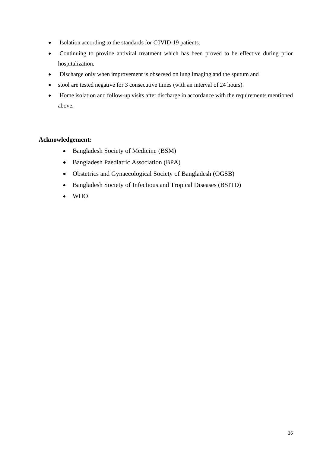- Isolation according to the standards for C0VID-19 patients.
- Continuing to provide antiviral treatment which has been proved to be effective during prior hospitalization.
- Discharge only when improvement is observed on lung imaging and the sputum and
- stool are tested negative for 3 consecutive times (with an interval of 24 hours).
- Home isolation and follow-up visits after discharge in accordance with the requirements mentioned above.

# **Acknowledgement:**

- Bangladesh Society of Medicine (BSM)
- Bangladesh Paediatric Association (BPA)
- Obstetrics and Gynaecological Society of Bangladesh (OGSB)
- Bangladesh Society of Infectious and Tropical Diseases (BSITD)
- WHO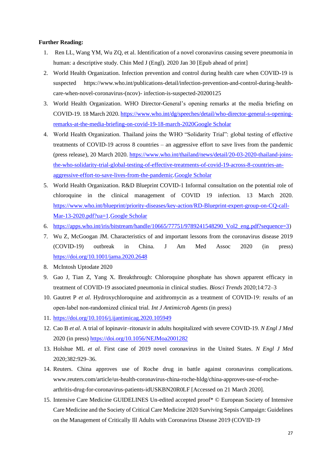#### **Further Reading:**

- 1. Ren LL, Wang YM, Wu ZQ, et al. Identification of a novel coronavirus causing severe pneumonia in human: a descriptive study. Chin Med J (Engl). 2020 Jan 30 [Epub ahead of print]
- 2. World Health Organization. Infection prevention and control during health care when COVID-19 is suspected https://www.who.int/publications-detail/infection-prevention-and-control-during-healthcare-when-novel-coronavirus-(ncov)- infection-is-suspected-20200125
- 3. World Health Organization. WHO Director-General's opening remarks at the media briefing on COVID-19. 18 March 2020[. https://www.who.int/dg/speeches/detail/who-director-general-s-opening](https://www.who.int/dg/speeches/detail/who-director-general-s-opening-remarks-at-the-media-briefing-on-covid-19-18-march-2020)[remarks-at-the-media-briefing-on-covid-19-18-march-2020](https://www.who.int/dg/speeches/detail/who-director-general-s-opening-remarks-at-the-media-briefing-on-covid-19-18-march-2020)[Google Scholar](https://www.bmj.com/lookup/google-scholar?link_type=googlescholar&gs_type=article)
- 4. World Health Organization. Thailand joins the WHO "Solidarity Trial": global testing of effective treatments of COVID-19 across 8 countries – an aggressive effort to save lives from the pandemic (press release), 20 March 2020. [https://www.who.int/thailand/news/detail/20-03-2020-thailand-joins](https://www.who.int/thailand/news/detail/20-03-2020-thailand-joins-the-who-solidarity-trial-global-testing-of-effective-treatments-of-covid-19-across-8-countries-an-aggressive-effort-to-save-lives-from-the-pandemic)[the-who-solidarity-trial-global-testing-of-effective-treatments-of-covid-19-across-8-countries-an](https://www.who.int/thailand/news/detail/20-03-2020-thailand-joins-the-who-solidarity-trial-global-testing-of-effective-treatments-of-covid-19-across-8-countries-an-aggressive-effort-to-save-lives-from-the-pandemic)[aggressive-effort-to-save-lives-from-the-pandemic](https://www.who.int/thailand/news/detail/20-03-2020-thailand-joins-the-who-solidarity-trial-global-testing-of-effective-treatments-of-covid-19-across-8-countries-an-aggressive-effort-to-save-lives-from-the-pandemic)[.Google Scholar](https://www.bmj.com/lookup/google-scholar?link_type=googlescholar&gs_type=article)
- 5. World Health Organization. R&D Blueprint COVID-1 Informal consultation on the potential role of chloroquine in the clinical management of COVID 19 infection. 13 March 2020. [https://www.who.int/blueprint/priority-diseases/key-action/RD-Blueprint-expert-group-on-CQ-call-](https://www.who.int/blueprint/priority-diseases/key-action/RD-Blueprint-expert-group-on-CQ-call-Mar-13-2020.pdf?ua=1)[Mar-13-2020.pdf?ua=1](https://www.who.int/blueprint/priority-diseases/key-action/RD-Blueprint-expert-group-on-CQ-call-Mar-13-2020.pdf?ua=1)[.Google Scholar](https://www.bmj.com/lookup/google-scholar?link_type=googlescholar&gs_type=article)
- 6. [https://apps.who.int/iris/bitstream/handle/10665/77751/9789241548290\\_Vol2\\_eng.pdf?sequence=3\)](https://apps.who.int/iris/bitstream/handle/10665/77751/9789241548290_Vol2_eng.pdf?sequence=3)
- 7. Wu Z, McGoogan JM. Characteristics of and important lessons from the coronavirus disease 2019 (COVID-19) outbreak in China. J Am Med Assoc 2020 (in press) <https://doi.org/10.1001/jama.2020.2648>
- 8. McIntosh Uptodate 2020
- 9. Gao J, Tian Z, Yang X. Breakthrough: Chloroquine phosphate has shown apparent efficacy in treatment of COVID-19 associated pneumonia in clinical studies. *Biosci Trends* 2020;14:72–3
- 10. Gautret P *et al*. Hydroxychloroquine and azithromycin as a treatment of COVID‐19: results of an open‐label non‐randomized clinical trial. *Int J Antimicrob Agents* (in press)
- 11. <https://doi.org/10.1016/j.ijantimicag.2020.105949>
- 12. Cao B *et al*. A trial of lopinavir–ritonavir in adults hospitalized with severe COVID-19. *N Engl J Med*  2020 (in press[\) https://doi.org/10.1056/NEJMoa2001282](https://doi.org/10.1056/NEJMoa2001282)
- 13. Holshue ML *et al*. First case of 2019 novel coronavirus in the United States. *N Engl J Med*  2020;382:929–36.
- 14. Reuters. China approves use of Roche drug in battle against coronavirus complications. www.reuters.com/article/us-health-coronavirus-china-roche-hldg/china-approves-use-of-rochearthritis-drug-for-coronavirus-patients-idUSKBN20R0LF [Accessed on 21 March 2020].
- 15. Intensive Care Medicine GUIDELINES Un-edited accepted proof\* © European Society of Intensive Care Medicine and the Society of Critical Care Medicine 2020 Surviving Sepsis Campaign: Guidelines on the Management of Critically Ill Adults with Coronavirus Disease 2019 (COVID-19